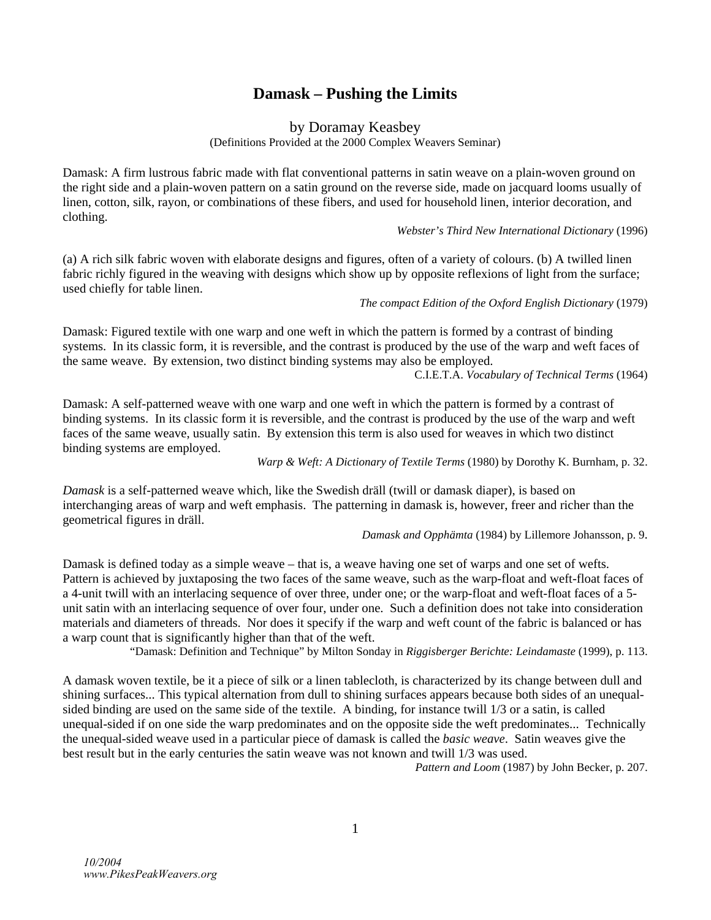## **Damask – Pushing the Limits**

by Doramay Keasbey

(Definitions Provided at the 2000 Complex Weavers Seminar)

Damask: A firm lustrous fabric made with flat conventional patterns in satin weave on a plain-woven ground on the right side and a plain-woven pattern on a satin ground on the reverse side, made on jacquard looms usually of linen, cotton, silk, rayon, or combinations of these fibers, and used for household linen, interior decoration, and clothing.

## *Webster's Third New International Dictionary* (1996)

(a) A rich silk fabric woven with elaborate designs and figures, often of a variety of colours. (b) A twilled linen fabric richly figured in the weaving with designs which show up by opposite reflexions of light from the surface; used chiefly for table linen.

*The compact Edition of the Oxford English Dictionary* (1979)

Damask: Figured textile with one warp and one weft in which the pattern is formed by a contrast of binding systems. In its classic form, it is reversible, and the contrast is produced by the use of the warp and weft faces of the same weave. By extension, two distinct binding systems may also be employed.

C.I.E.T.A. *Vocabulary of Technical Terms* (1964)

Damask: A self-patterned weave with one warp and one weft in which the pattern is formed by a contrast of binding systems. In its classic form it is reversible, and the contrast is produced by the use of the warp and weft faces of the same weave, usually satin. By extension this term is also used for weaves in which two distinct binding systems are employed.

*Warp & Weft: A Dictionary of Textile Terms* (1980) by Dorothy K. Burnham, p. 32.

*Damask* is a self-patterned weave which, like the Swedish dräll (twill or damask diaper), is based on interchanging areas of warp and weft emphasis. The patterning in damask is, however, freer and richer than the geometrical figures in dräll.

*Damask and Opphämta* (1984) by Lillemore Johansson, p. 9.

Damask is defined today as a simple weave – that is, a weave having one set of warps and one set of wefts. Pattern is achieved by juxtaposing the two faces of the same weave, such as the warp-float and weft-float faces of a 4-unit twill with an interlacing sequence of over three, under one; or the warp-float and weft-float faces of a 5 unit satin with an interlacing sequence of over four, under one. Such a definition does not take into consideration materials and diameters of threads. Nor does it specify if the warp and weft count of the fabric is balanced or has a warp count that is significantly higher than that of the weft.

"Damask: Definition and Technique" by Milton Sonday in *Riggisberger Berichte: Leindamaste* (1999), p. 113.

A damask woven textile, be it a piece of silk or a linen tablecloth, is characterized by its change between dull and shining surfaces... This typical alternation from dull to shining surfaces appears because both sides of an unequalsided binding are used on the same side of the textile. A binding, for instance twill 1/3 or a satin, is called unequal-sided if on one side the warp predominates and on the opposite side the weft predominates... Technically the unequal-sided weave used in a particular piece of damask is called the *basic weave*. Satin weaves give the best result but in the early centuries the satin weave was not known and twill 1/3 was used.

*Pattern and Loom* (1987) by John Becker, p. 207.